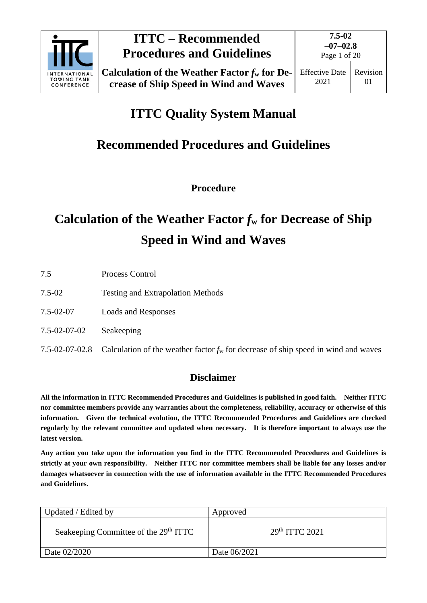

Page 1 of 20

## **ITTC Quality System Manual**

### **Recommended Procedures and Guidelines**

**Procedure**

# **Calculation of the Weather Factor** *f***<sup>w</sup> for Decrease of Ship Speed in Wind and Waves**

| 7.5          | Process Control                                                                                     |
|--------------|-----------------------------------------------------------------------------------------------------|
| 7.5-02       | <b>Testing and Extrapolation Methods</b>                                                            |
| 7.5-02-07    | Loads and Responses                                                                                 |
| 7.5-02-07-02 | Seakeeping                                                                                          |
|              | 7.5-02-07-02.8 Calculation of the weather factor $f_w$ for decrease of ship speed in wind and waves |

### **Disclaimer**

**All the information in ITTC Recommended Procedures and Guidelines is published in good faith. Neither ITTC nor committee members provide any warranties about the completeness, reliability, accuracy or otherwise of this information. Given the technical evolution, the ITTC Recommended Procedures and Guidelines are checked regularly by the relevant committee and updated when necessary. It is therefore important to always use the latest version.**

**Any action you take upon the information you find in the ITTC Recommended Procedures and Guidelines is strictly at your own responsibility. Neither ITTC nor committee members shall be liable for any losses and/or damages whatsoever in connection with the use of information available in the ITTC Recommended Procedures and Guidelines.**

| Updated / Edited by                               | Approved                   |
|---------------------------------------------------|----------------------------|
| Seakeeping Committee of the 29 <sup>th</sup> ITTC | 29 <sup>th</sup> TTTC 2021 |
| Date 02/2020                                      | Date 06/2021               |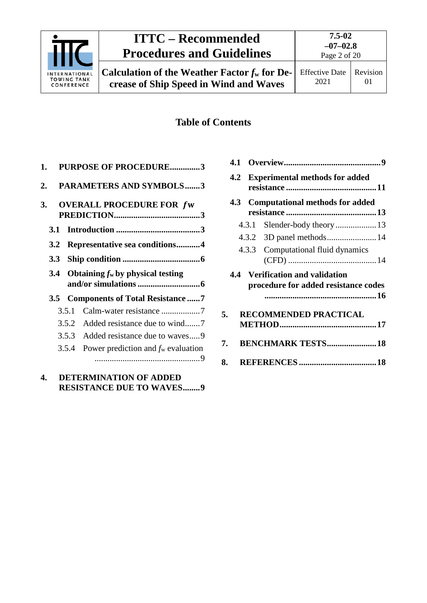

# **ITTC – Recommended Procedures and Guidelines**

**Calculation of the Weather Factor**  $f_w$  **for Decrease of Ship Speed in Wind and Waves**

### **Table of Contents**

| 1.                     |     |       | <b>PURPOSE OF PROCEDURE3</b>          |  |
|------------------------|-----|-------|---------------------------------------|--|
| 2.                     |     |       | PARAMETERS AND SYMBOLS3               |  |
| 3.                     |     |       | <b>OVERALL PROCEDURE FOR fw</b>       |  |
|                        | 3.1 |       |                                       |  |
|                        | 3.2 |       | Representative sea conditions4        |  |
|                        | 3.3 |       |                                       |  |
|                        | 3.4 |       | Obtaining $f_w$ by physical testing   |  |
|                        |     |       | 3.5 Components of Total Resistance 7  |  |
|                        |     | 3.5.1 | Calm-water resistance 7               |  |
|                        |     | 3.5.2 |                                       |  |
|                        |     |       | 3.5.3 Added resistance due to waves9  |  |
|                        |     | 3.5.4 | Power prediction and $f_w$ evaluation |  |
| $\boldsymbol{\Lambda}$ |     |       | DETERMINATION OF ADDED                |  |

### **4. [DETERMINATION OF ADDED](#page-8-2)  [RESISTANCE DUE TO WAVES........9](#page-8-2)**

|    |       | 4.2 Experimental methods for added                                      |  |
|----|-------|-------------------------------------------------------------------------|--|
|    |       | 4.3 Computational methods for added                                     |  |
|    |       |                                                                         |  |
|    | 4.3.1 | Slender-body theory13                                                   |  |
|    |       |                                                                         |  |
|    |       | 4.3.3 Computational fluid dynamics                                      |  |
|    |       | 4.4 Verification and validation<br>procedure for added resistance codes |  |
| 5. |       | <b>RECOMMENDED PRACTICAL</b>                                            |  |
| 7. |       | <b>BENCHMARK TESTS 18</b>                                               |  |
| 8. |       |                                                                         |  |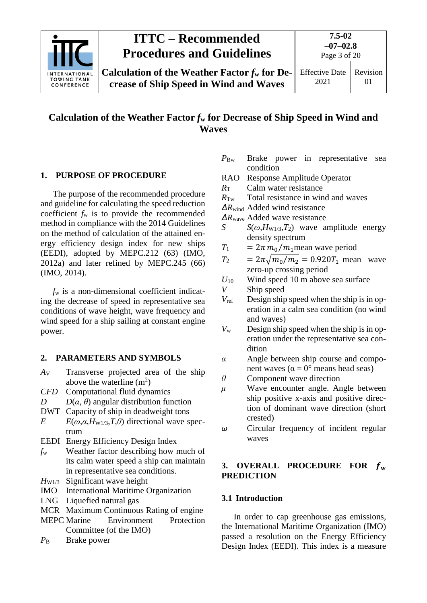

### **Calculation of the Weather Factor** *f***<sup>w</sup> for Decrease of Ship Speed in Wind and Waves**

#### <span id="page-2-0"></span>**1. PURPOSE OF PROCEDURE**

The purpose of the recommended procedure and guideline for calculating the speed reduction coefficient *f*<sup>w</sup> is to provide the recommended method in compliance with the 2014 Guidelines on the method of calculation of the attained energy efficiency design index for new ships (EEDI), adopted by MEPC.212 (63) (IMO, 2012a) and later refined by MEPC.245 (66) (IMO, 2014).

*f*<sup>w</sup> is a non-dimensional coefficient indicating the decrease of speed in representative sea conditions of wave height, wave frequency and wind speed for a ship sailing at constant engine power.

#### <span id="page-2-1"></span>**2. PARAMETERS AND SYMBOLS**

- *A*<sup>V</sup> Transverse projected area of the ship above the waterline  $(m^2)$
- *CFD* Computational fluid dynamics
- *D*  $D$  *D*(*α*, *θ*) angular distribution function
- DWT Capacity of ship in deadweight tons
- *E*  $E(\omega, \alpha, H_{W1/3}, T, \theta)$  directional wave spectrum
- EEDI Energy Efficiency Design Index
- *f*<sup>w</sup> Weather factor describing how much of its calm water speed a ship can maintain in representative sea conditions.
- *H*<sub>W1/3</sub> Significant wave height
- IMO International Maritime Organization
- LNG Liquefied natural gas
- MCR Maximum Continuous Rating of engine
- MEPC Marine Environment Protection Committee (of the IMO)
- *P*<sub>B</sub> Brake power
- *P*Bw Brake power in representative sea condition
- RAO Response Amplitude Operator
- *R*<sup>T</sup> Calm water resistance
- *R*Tw Total resistance in wind and waves
- *ΔR*wind Added wind resistance
- *ΔR*wave Added wave resistance
- *S*  $S(\omega, H_{W1/3}, T_2)$  wave amplitude energy density spectrum
- $T_1$  =  $2\pi m_0/m_1$  mean wave period

$$
T_2 = 2\pi \sqrt{m_0/m_2} = 0.920T_1
$$
 mean wave  
zero-up crossing period

- $U_{10}$  Wind speed 10 m above sea surface  $V$  Ship speed Ship speed
- *V*ref Design ship speed when the ship is in operation in a calm sea condition (no wind and waves)
- *V*<sup>w</sup> Design ship speed when the ship is in operation under the representative sea condition
- *α* Angle between ship course and component waves ( $\alpha = 0^{\circ}$  means head seas)
- *θ* Component wave direction
- *μ* Wave encounter angle. Angle between ship positive x-axis and positive direction of dominant wave direction (short crested)
- *ω* Circular frequency of incident regular waves

#### <span id="page-2-2"></span>**3. OVERALL PROCEDURE FOR PREDICTION**

#### <span id="page-2-3"></span>**3.1 Introduction**

In order to cap greenhouse gas emissions, the International Maritime Organization (IMO) passed a resolution on the Energy Efficiency Design Index (EEDI). This index is a measure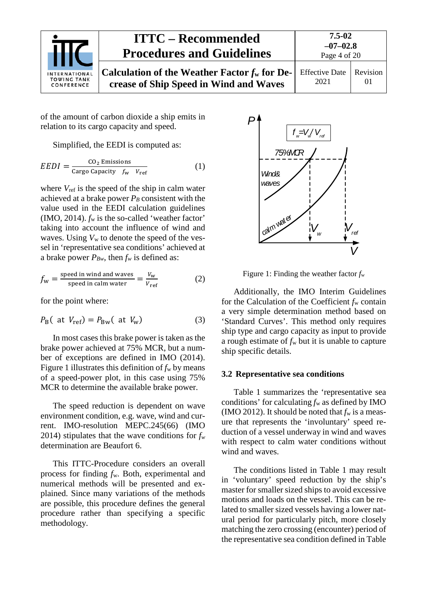|                                                   | <b>ITTC – Recommended</b><br><b>Procedures and Guidelines</b>                             | $7.5 - 02$<br>$-07-02.8$<br>Page 4 of 20 |                     |
|---------------------------------------------------|-------------------------------------------------------------------------------------------|------------------------------------------|---------------------|
| INTERNATIONAL<br><b>TOWING TANK</b><br>CONFERENCE | Calculation of the Weather Factor $f_w$ for De-<br>crease of Ship Speed in Wind and Waves | <b>Effective Date</b><br>2021            | Revision<br>$_{01}$ |

of the amount of carbon dioxide a ship emits in relation to its cargo capacity and speed.

Simplified, the EEDI is computed as:

$$
EEDI = \frac{CO_2 \text{ Emissions}}{\text{Cargo Capacity } f_{\text{w}} \quad V_{\text{ref}}}
$$
 (1)

where  $V_{\text{ref}}$  is the speed of the ship in calm water achieved at a brake power  $P_B$  consistent with the value used in the EEDI calculation guidelines (IMO, 2014). *f*<sup>w</sup> is the so-called 'weather factor' taking into account the influence of wind and waves. Using *V*<sup>w</sup> to denote the speed of the vessel in 'representative sea conditions' achieved at a brake power  $P_{Bw}$ , then  $f_w$  is defined as:

$$
f_{\rm w} = \frac{\text{speed in wind and waves}}{\text{speed in calm water}} = \frac{V_{\rm w}}{V_{\rm ref}}
$$
(2)

for the point where:

$$
P_{\rm B}(at V_{\rm ref}) = P_{\rm Bw}(at V_{\rm w})
$$
 (3)

In most cases this brake power is taken as the brake power achieved at 75% MCR, but a number of exceptions are defined in IMO (2014). Figure 1 illustrates this definition of  $f_w$  by means of a speed-power plot, in this case using 75% MCR to determine the available brake power.

The speed reduction is dependent on wave environment condition, e.g. wave, wind and current. IMO-resolution MEPC.245(66) (IMO 2014) stipulates that the wave conditions for  $f_w$ determination are Beaufort 6.

This ITTC-Procedure considers an overall process for finding *f*w. Both, experimental and numerical methods will be presented and explained. Since many variations of the methods are possible, this procedure defines the general procedure rather than specifying a specific methodology.



Figure 1: Finding the weather factor  $f_w$ 

Additionally, the IMO Interim Guidelines for the Calculation of the Coefficient *f*<sup>w</sup> contain a very simple determination method based on 'Standard Curves'. This method only requires ship type and cargo capacity as input to provide a rough estimate of  $f_w$  but it is unable to capture ship specific details.

#### <span id="page-3-0"></span>**3.2 Representative sea conditions**

Table 1 summarizes the 'representative sea conditions' for calculating  $f_w$  as defined by IMO (IMO 2012). It should be noted that  $f_w$  is a measure that represents the 'involuntary' speed reduction of a vessel underway in wind and waves with respect to calm water conditions without wind and waves.

The conditions listed in Table 1 may result in 'voluntary' speed reduction by the ship's master for smaller sized ships to avoid excessive motions and loads on the vessel. This can be related to smaller sized vessels having a lower natural period for particularly pitch, more closely matching the zero crossing (encounter) period of the representative sea condition defined in Table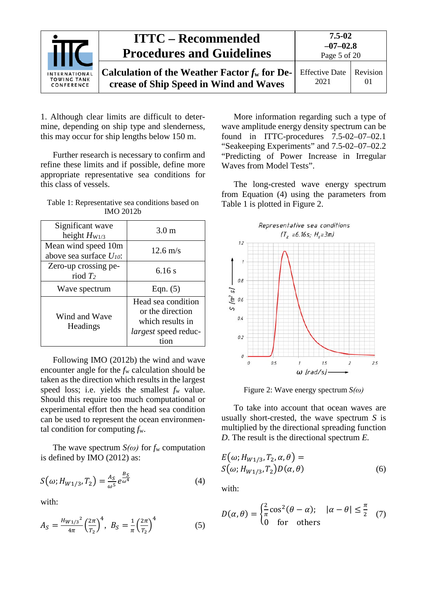|                                                          | <b>ITTC – Recommended</b><br><b>Procedures and Guidelines</b>                             | 7.5-02<br>$-07-02.8$<br>Page 5 of 20 |                      |
|----------------------------------------------------------|-------------------------------------------------------------------------------------------|--------------------------------------|----------------------|
| <b>INTERNATIONAL</b><br><b>TOWING TANK</b><br>CONFERENCE | Calculation of the Weather Factor $f_w$ for De-<br>crease of Ship Speed in Wind and Waves | <b>Effective Date</b><br>2021        | Revision<br>$\Omega$ |

1. Although clear limits are difficult to determine, depending on ship type and slenderness, this may occur for ship lengths below 150 m.

Further research is necessary to confirm and refine these limits and if possible, define more appropriate representative sea conditions for this class of vessels.

| Table 1: Representative sea conditions based on |
|-------------------------------------------------|
| <b>IMO 2012b</b>                                |

| Significant wave<br>height $H_{W1/3}$               | 3.0 <sub>m</sub>                                                                          |  |
|-----------------------------------------------------|-------------------------------------------------------------------------------------------|--|
| Mean wind speed 10m<br>above sea surface $U_{10}$ : | $12.6 \text{ m/s}$                                                                        |  |
| Zero-up crossing pe-<br>riod $T_2$                  | 6.16s                                                                                     |  |
| Wave spectrum                                       | Eqn. $(5)$                                                                                |  |
| Wind and Wave<br>Headings                           | Head sea condition<br>or the direction<br>which results in<br><i>largest</i> speed reduc- |  |

Following IMO (2012b) the wind and wave encounter angle for the *f*<sup>w</sup> calculation should be taken as the direction which results in the largest speed loss; i.e. yields the smallest  $f_w$  value. Should this require too much computational or experimental effort then the head sea condition can be used to represent the ocean environmental condition for computing *f*w.

The wave spectrum  $S(\omega)$  for  $f_w$  computation is defined by IMO (2012) as:

$$
S(\omega; H_{W1/3}, T_2) = \frac{A_S}{\omega^5} e^{\frac{B_S}{\omega^4}}
$$
 (4)

with:

$$
A_S = \frac{H_{W1/3}^2}{4\pi} \left(\frac{2\pi}{T_2}\right)^4, \ B_S = \frac{1}{\pi} \left(\frac{2\pi}{T_2}\right)^4 \tag{5}
$$

More information regarding such a type of wave amplitude energy density spectrum can be found in ITTC-procedures 7.5-02–07–02.1 "Seakeeping Experiments" and 7.5-02–07–02.2 "Predicting of Power Increase in Irregular Waves from Model Tests".

The long-crested wave energy spectrum from Equation (4) using the parameters from Table 1 is plotted in [Figure 2.](#page-4-0)



<span id="page-4-0"></span>Figure 2: Wave energy spectrum *S(ω)*

To take into account that ocean waves are usually short-crested, the wave spectrum *S* is multiplied by the directional spreading function *D*. The result is the directional spectrum *E.*

$$
E(\omega; H_{W1/3}, T_2, \alpha, \theta) =
$$
  
\n
$$
S(\omega; H_{W1/3}, T_2)D(\alpha, \theta)
$$
 (6)

with:

$$
D(\alpha, \theta) = \begin{cases} \frac{2}{\pi} \cos^2(\theta - \alpha); & |\alpha - \theta| \le \frac{\pi}{2} \\ 0 & \text{for others} \end{cases}
$$
 (7)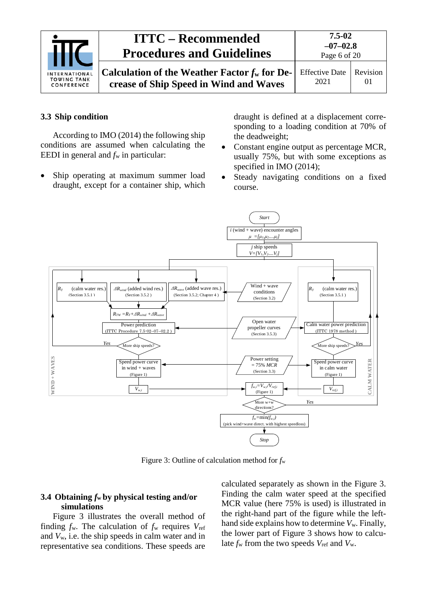|                                                   | <b>ITTC – Recommended</b><br><b>Procedures and Guidelines</b>                             | 7.5-02<br>$-07-02.8$<br>Page 6 of 20 |                |
|---------------------------------------------------|-------------------------------------------------------------------------------------------|--------------------------------------|----------------|
| INTERNATIONAL<br><b>TOWING TANK</b><br>CONFERENCE | Calculation of the Weather Factor $f_w$ for De-<br>crease of Ship Speed in Wind and Waves | <b>Effective Date</b><br>2021        | Revision<br>01 |

#### <span id="page-5-0"></span>**3.3 Ship condition**

According to IMO (2014) the following ship conditions are assumed when calculating the EEDI in general and  $f_w$  in particular:

Ship operating at maximum summer load draught, except for a container ship, which draught is defined at a displacement corresponding to a loading condition at 70% of the deadweight;

- Constant engine output as percentage MCR, usually 75%, but with some exceptions as specified in IMO (2014);
- Steady navigating conditions on a fixed course.



Figure 3: Outline of calculation method for *f*<sup>w</sup>

#### <span id="page-5-1"></span>**3.4 Obtaining** *f***<sup>w</sup> by physical testing and/or simulations**

Figure 3 illustrates the overall method of finding  $f_w$ . The calculation of  $f_w$  requires  $V_{\text{ref}}$ and *V*w, i.e. the ship speeds in calm water and in representative sea conditions. These speeds are calculated separately as shown in the Figure 3. Finding the calm water speed at the specified MCR value (here 75% is used) is illustrated in the right-hand part of the figure while the lefthand side explains how to determine *V*w. Finally, the lower part of Figure 3 shows how to calculate  $f_w$  from the two speeds  $V_{ref}$  and  $V_w$ .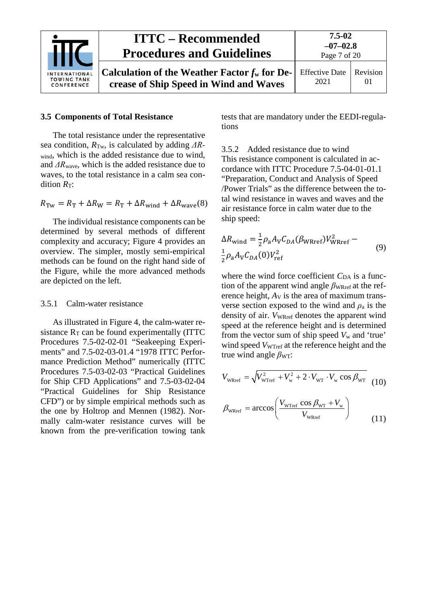|                                                          | <b>ITTC – Recommended</b><br><b>Procedures and Guidelines</b>                             | 7.5-02<br>$-07-02.8$<br>Page 7 of 20 |                      |
|----------------------------------------------------------|-------------------------------------------------------------------------------------------|--------------------------------------|----------------------|
| <b>INTERNATIONAL</b><br><b>TOWING TANK</b><br>CONFERENCE | Calculation of the Weather Factor $f_w$ for De-<br>crease of Ship Speed in Wind and Waves | <b>Effective Date</b><br>2021        | Revision<br>$\theta$ |

#### <span id="page-6-0"></span>**3.5 Components of Total Resistance**

The total resistance under the representative sea condition, *R*Tw, is calculated by adding *ΔR*wind, which is the added resistance due to wind, and *ΔR*wave, which is the added resistance due to waves, to the total resistance in a calm sea condition  $R_T$ :

$$
R_{\text{Tw}} = R_{\text{T}} + \Delta R_{\text{W}} = R_{\text{T}} + \Delta R_{\text{wind}} + \Delta R_{\text{wave}}(8)
$$

The individual resistance components can be determined by several methods of different complexity and accuracy; Figure 4 provides an overview. The simpler, mostly semi-empirical methods can be found on the right hand side of the Figure, while the more advanced methods are depicted on the left.

#### <span id="page-6-1"></span>3.5.1 Calm-water resistance

As illustrated in Figure 4, the calm-water resistance  $R_T$  can be found experimentally (ITTC Procedures 7.5-02-02-01 "Seakeeping Experiments" and 7.5-02-03-01.4 "1978 ITTC Performance Prediction Method" numerically (ITTC Procedures 7.5-03-02-03 "Practical Guidelines for Ship CFD Applications" and 7.5-03-02-04 "Practical Guidelines for Ship Resistance CFD") or by simple empirical methods such as the one by Holtrop and Mennen (1982). Normally calm-water resistance curves will be known from the pre-verification towing tank tests that are mandatory under the EEDI-regulations

#### <span id="page-6-2"></span>3.5.2 Added resistance due to wind

This resistance component is calculated in accordance with ITTC Procedure 7.5-04-01-01.1 "Preparation, Conduct and Analysis of Speed /Power Trials" as the difference between the total wind resistance in waves and waves and the air resistance force in calm water due to the ship speed:

$$
\Delta R_{\text{wind}} = \frac{1}{2} \rho_a A_V C_{DA} (\beta_{\text{WRref}}) V_{\text{WRref}}^2 -
$$
  

$$
\frac{1}{2} \rho_a A_V C_{DA} (0) V_{\text{ref}}^2
$$
 (9)

where the wind force coefficient  $C_{DA}$  is a function of the apparent wind angle  $β$ <sub>WRref</sub> at the reference height,  $A_V$  is the area of maximum transverse section exposed to the wind and  $\rho_a$  is the density of air. *VwRref* denotes the apparent wind speed at the reference height and is determined from the vector sum of ship speed *V*<sup>w</sup> and 'true' wind speed *VwTref* at the reference height and the true wind angle  $β_{WT}$ :

$$
V_{\text{wRref}} = \sqrt{V_{\text{wTref}}^2 + V_{\text{w}}^2 + 2 \cdot V_{\text{wr}} \cdot V_{\text{w}} \cos \beta_{\text{wr}}}
$$
(10)

$$
\beta_{\text{wRref}} = \arccos\left(\frac{V_{\text{wTref}}\cos\beta_{\text{wT}} + V_{\text{w}}}{V_{\text{wRref}}}\right)
$$
(11)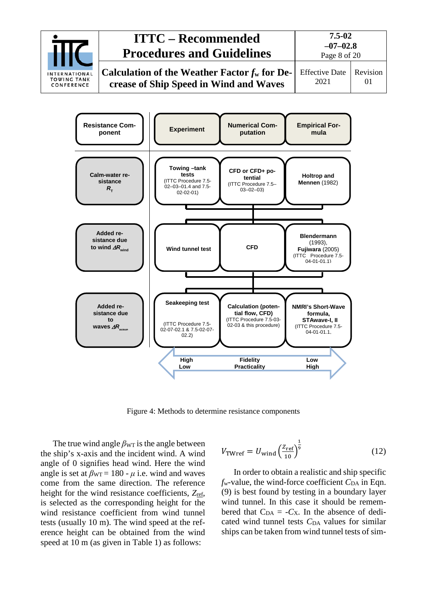



Figure 4: Methods to determine resistance components

The true wind angle  $\beta_{\text{WT}}$  is the angle between the ship's x-axis and the incident wind. A wind angle of 0 signifies head wind. Here the wind angle is set at  $\beta_{\text{WT}} = 180 - \mu$  i.e. wind and waves come from the same direction. The reference height for the wind resistance coefficients, *Z*ref, is selected as the corresponding height for the wind resistance coefficient from wind tunnel tests (usually 10 m). The wind speed at the reference height can be obtained from the wind speed at 10 m (as given in Table 1) as follows:

$$
V_{\text{TWref}} = U_{\text{wind}} \left(\frac{Z_{\text{ref}}}{10}\right)^{\frac{1}{9}} \tag{12}
$$

In order to obtain a realistic and ship specific  $f_w$ -value, the wind-force coefficient  $C_{DA}$  in Eqn. (9) is best found by testing in a boundary layer wind tunnel. In this case it should be remembered that  $C_{DA} = -C_X$ . In the absence of dedicated wind tunnel tests C<sub>DA</sub> values for similar ships can be taken from wind tunnel tests of sim-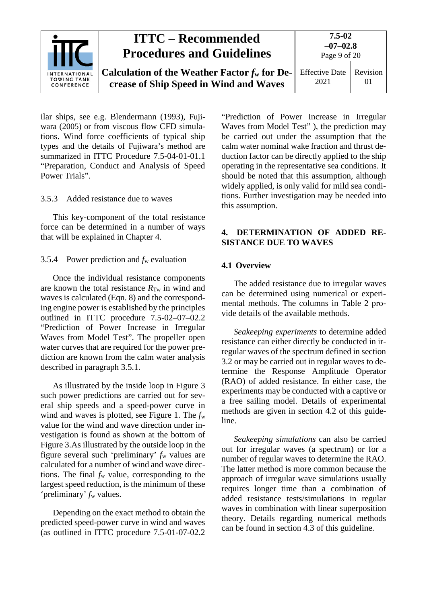|                                                   | <b>ITTC – Recommended</b><br><b>Procedures and Guidelines</b>                             | 7.5-02<br>$-07-02.8$<br>Page 9 of 20 |                      |
|---------------------------------------------------|-------------------------------------------------------------------------------------------|--------------------------------------|----------------------|
| INTERNATIONAL<br><b>TOWING TANK</b><br>CONFERENCE | Calculation of the Weather Factor $f_w$ for De-<br>crease of Ship Speed in Wind and Waves | <b>Effective Date</b><br>2021        | Revision<br>$\Omega$ |

ilar ships, see e.g. Blendermann (1993), Fujiwara (2005) or from viscous flow CFD simulations. Wind force coefficients of typical ship types and the details of Fujiwara's method are summarized in ITTC Procedure 7.5-04-01-01.1 "Preparation, Conduct and Analysis of Speed Power Trials".

#### <span id="page-8-0"></span>3.5.3 Added resistance due to waves

This key-component of the total resistance force can be determined in a number of ways that will be explained in Chapter 4.

#### <span id="page-8-1"></span>3.5.4 Power prediction and *f*<sup>w</sup> evaluation

Once the individual resistance components are known the total resistance  $R_{Tw}$  in wind and waves is calculated (Eqn. 8) and the corresponding engine power is established by the principles outlined in ITTC procedure 7.5-02–07–02.2 "Prediction of Power Increase in Irregular Waves from Model Test". The propeller open water curves that are required for the power prediction are known from the calm water analysis described in paragraph 3.5.1.

As illustrated by the inside loop in Figure 3 such power predictions are carried out for several ship speeds and a speed-power curve in wind and waves is plotted, see Figure 1. The *f*<sup>w</sup> value for the wind and wave direction under investigation is found as shown at the bottom of Figure 3.As illustrated by the outside loop in the figure several such 'preliminary' *f*<sup>w</sup> values are calculated for a number of wind and wave directions. The final *f*<sup>w</sup> value, corresponding to the largest speed reduction, is the minimum of these 'preliminary' *f*<sup>w</sup> values.

Depending on the exact method to obtain the predicted speed-power curve in wind and waves (as outlined in ITTC procedure 7.5-01-07-02.2

"Prediction of Power Increase in Irregular Waves from Model Test" ), the prediction may be carried out under the assumption that the calm water nominal wake fraction and thrust deduction factor can be directly applied to the ship operating in the representative sea conditions. It should be noted that this assumption, although widely applied, is only valid for mild sea conditions. Further investigation may be needed into this assumption.

#### <span id="page-8-2"></span>**4. DETERMINATION OF ADDED RE-SISTANCE DUE TO WAVES**

#### <span id="page-8-3"></span>**4.1 Overview**

The added resistance due to irregular waves can be determined using numerical or experimental methods. The columns in Table 2 provide details of the available methods.

*Seakeeping experiments* to determine added resistance can either directly be conducted in irregular waves of the spectrum defined in section [3.2](#page-3-0) or may be carried out in regular waves to determine the Response Amplitude Operator (RAO) of added resistance. In either case, the experiments may be conducted with a captive or a free sailing model. Details of experimental methods are given in section 4.2 of this guideline.

*Seakeeping simulations* can also be carried out for irregular waves (a spectrum) or for a number of regular waves to determine the RAO. The latter method is more common because the approach of irregular wave simulations usually requires longer time than a combination of added resistance tests/simulations in regular waves in combination with linear superposition theory. Details regarding numerical methods can be found in section [4.3](#page-12-0) of this guideline.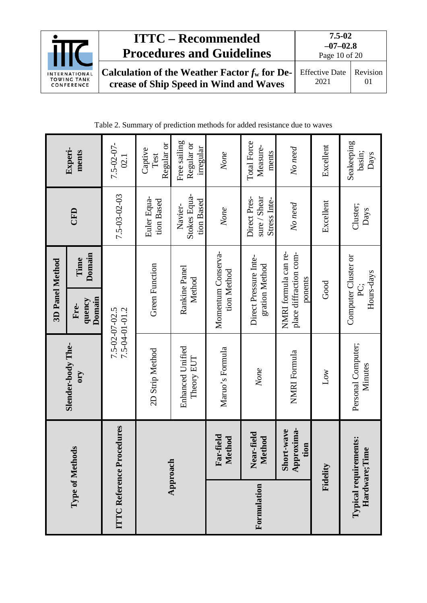

# **ITTC – Recommended Procedures and Guidelines**

| Table 2. Summary of prediction methods for added resistance due to waves |
|--------------------------------------------------------------------------|
|--------------------------------------------------------------------------|

|                          |                                  |                                       | 3D Panel Method                                           |                                              |                                         |
|--------------------------|----------------------------------|---------------------------------------|-----------------------------------------------------------|----------------------------------------------|-----------------------------------------|
|                          | Type of Methods                  | Slender-body The-<br><b>A.10</b>      | Domain<br>Time<br>Domain<br>quency<br>Fre-                | CFD                                          | Experi-<br>ments                        |
| <b>ITTC Reference Pr</b> | ocedures                         |                                       | $7.5 - 02 - 07 - 02.5$<br>$7.5 - 04 - 01 - 01.2$          | $7.5 - 03 - 02 - 03$                         | $7.5 - 02 - 07 -$<br>02.1               |
|                          |                                  | 2D Strip Method                       | <b>Green Function</b>                                     | Euler Equa-<br>tion Based                    | Regular or<br>Captive<br>Test           |
|                          | Approach                         | <b>Enhanced Unified</b><br>Theory EUT | Rankine Panel<br>Method                                   | Stokes Equa-<br>tion Based<br>Navier-        | Free sailing<br>Regular or<br>irregular |
|                          | Far-field<br>Method              | Maruo's Formula                       | Momentum Conserva-<br>tion Method                         | None                                         | None                                    |
| Formulation              | Near-field<br>Method             | None                                  | Direct Pressure Inte-<br>gration Method                   | Direct Pres-<br>sure / Shear<br>Stress Inte- | <b>Total Force</b><br>Measure-<br>ments |
|                          | Approxima-<br>Short-wave<br>tion | NMRI Formula                          | NMRI formula can re-<br>place diffraction com-<br>ponents | No need                                      | No need                                 |
|                          | Fidelity                         | $_{\text{Low}}$                       | Good                                                      | Excellent                                    | Excellent                               |
| Hardware; Ti             | Typical requirements:<br>me      | Personal Computer;<br>Minutes         | Computer Cluster or<br>Hours-days<br>È.                   | Cluster;<br>Days                             | Seakeeping<br>basin;<br>Days            |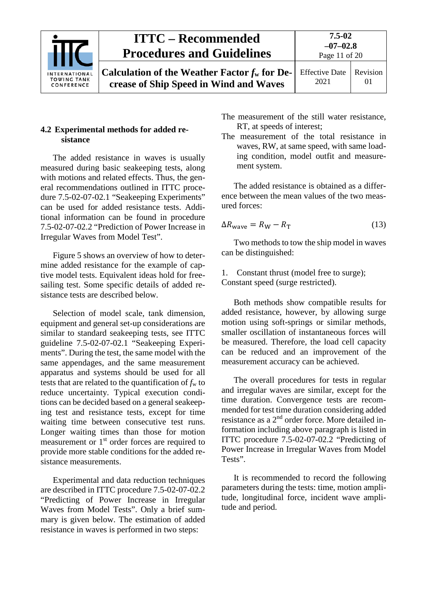| INTERNATIONAL<br><b>TOWING TANK</b><br>CONFERENCE | <b>ITTC – Recommended</b><br><b>Procedures and Guidelines</b>                                                                         | $7.5 - 02$<br>$-07-02.8$<br>Page 11 of 20 |    |
|---------------------------------------------------|---------------------------------------------------------------------------------------------------------------------------------------|-------------------------------------------|----|
|                                                   | <b>Calculation of the Weather Factor <math>f_w</math> for De-</b> Effective Date   Revision<br>crease of Ship Speed in Wind and Waves | 2021                                      | 01 |

#### <span id="page-10-0"></span>**4.2 Experimental methods for added resistance**

The added resistance in waves is usually measured during basic seakeeping tests, along with motions and related effects. Thus, the general recommendations outlined in ITTC procedure 7.5-02-07-02.1 "Seakeeping Experiments" can be used for added resistance tests. Additional information can be found in procedure 7.5-02-07-02.2 "Prediction of Power Increase in Irregular Waves from Model Test".

Figure 5 shows an overview of how to determine added resistance for the example of captive model tests. Equivalent ideas hold for freesailing test. Some specific details of added resistance tests are described below.

Selection of model scale, tank dimension, equipment and general set-up considerations are similar to standard seakeeping tests, see ITTC guideline 7.5-02-07-02.1 "Seakeeping Experiments". During the test, the same model with the same appendages, and the same measurement apparatus and systems should be used for all tests that are related to the quantification of  $f_w$  to reduce uncertainty. Typical execution conditions can be decided based on a general seakeeping test and resistance tests, except for time waiting time between consecutive test runs. Longer waiting times than those for motion measurement or 1<sup>st</sup> order forces are required to provide more stable conditions for the added resistance measurements.

Experimental and data reduction techniques are described in ITTC procedure 7.5-02-07-02.2 "Predicting of Power Increase in Irregular Waves from Model Tests". Only a brief summary is given below. The estimation of added resistance in waves is performed in two steps:

- The measurement of the still water resistance, RT, at speeds of interest;
- The measurement of the total resistance in waves, RW, at same speed, with same loading condition, model outfit and measurement system.

The added resistance is obtained as a difference between the mean values of the two measured forces:

$$
\Delta R_{\text{wave}} = R_{\text{W}} - R_{\text{T}} \tag{13}
$$

Two methods to tow the ship model in waves can be distinguished:

1. Constant thrust (model free to surge); Constant speed (surge restricted).

Both methods show compatible results for added resistance, however, by allowing surge motion using soft-springs or similar methods, smaller oscillation of instantaneous forces will be measured. Therefore, the load cell capacity can be reduced and an improvement of the measurement accuracy can be achieved.

The overall procedures for tests in regular and irregular waves are similar, except for the time duration. Convergence tests are recommended for test time duration considering added resistance as a 2nd order force. More detailed information including above paragraph is listed in ITTC procedure 7.5-02-07-02.2 "Predicting of Power Increase in Irregular Waves from Model Tests".

It is recommended to record the following parameters during the tests: time, motion amplitude, longitudinal force, incident wave amplitude and period.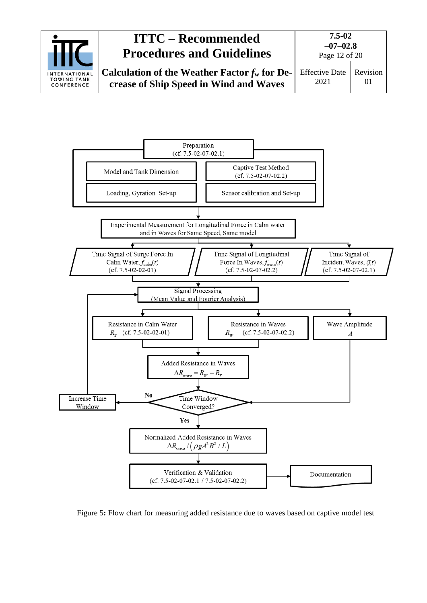



Figure 5**:** Flow chart for measuring added resistance due to waves based on captive model test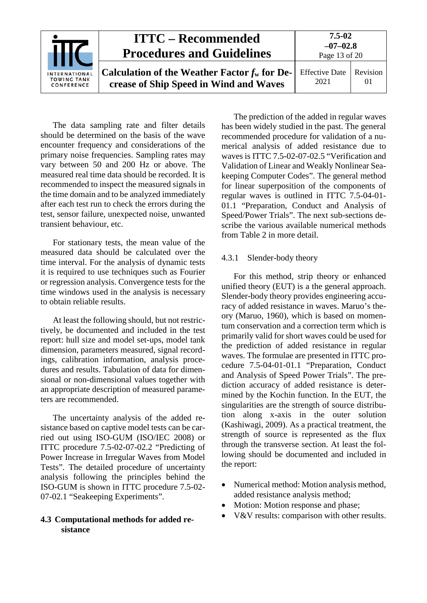| INTERNATIONAL<br><b>TOWING TANK</b><br>CONFERENCE | <b>ITTC – Recommended</b><br><b>Procedures and Guidelines</b>                             | 7.5-02<br>$-07-02.8$<br>Page 13 of 20 |          |
|---------------------------------------------------|-------------------------------------------------------------------------------------------|---------------------------------------|----------|
|                                                   | Calculation of the Weather Factor $f_w$ for De-<br>crease of Ship Speed in Wind and Waves | <b>Effective Date</b><br>2021         | Revision |

The data sampling rate and filter details should be determined on the basis of the wave encounter frequency and considerations of the primary noise frequencies. Sampling rates may vary between 50 and 200 Hz or above. The measured real time data should be recorded. It is recommended to inspect the measured signals in the time domain and to be analyzed immediately after each test run to check the errors during the test, sensor failure, unexpected noise, unwanted transient behaviour, etc.

For stationary tests, the mean value of the measured data should be calculated over the time interval. For the analysis of dynamic tests it is required to use techniques such as Fourier or regression analysis. Convergence tests for the time windows used in the analysis is necessary to obtain reliable results.

At least the following should, but not restrictively, be documented and included in the test report: hull size and model set-ups, model tank dimension, parameters measured, signal recordings, calibration information, analysis procedures and results. Tabulation of data for dimensional or non-dimensional values together with an appropriate description of measured parameters are recommended.

The uncertainty analysis of the added resistance based on captive model tests can be carried out using ISO-GUM (ISO/IEC 2008) or ITTC procedure 7.5-02-07-02.2 "Predicting of Power Increase in Irregular Waves from Model Tests". The detailed procedure of uncertainty analysis following the principles behind the ISO-GUM is shown in ITTC procedure 7.5-02- 07-02.1 "Seakeeping Experiments".

#### <span id="page-12-0"></span>**4.3 Computational methods for added resistance**

The prediction of the added in regular waves has been widely studied in the past. The general recommended procedure for validation of a numerical analysis of added resistance due to waves is ITTC 7.5-02-07-02.5 "Verification and Validation of Linear and Weakly Nonlinear Seakeeping Computer Codes". The general method for linear superposition of the components of regular waves is outlined in ITTC 7.5-04-01- 01.1 "Preparation, Conduct and Analysis of Speed/Power Trials". The next sub-sections describe the various available numerical methods from Table 2 in more detail.

#### <span id="page-12-1"></span>4.3.1 Slender-body theory

For this method, strip theory or enhanced unified theory (EUT) is a the general approach. Slender-body theory provides engineering accuracy of added resistance in waves. Maruo's theory (Maruo, 1960), which is based on momentum conservation and a correction term which is primarily valid for short waves could be used for the prediction of added resistance in regular waves. The formulae are presented in ITTC procedure 7.5-04-01-01.1 "Preparation, Conduct and Analysis of Speed Power Trials". The prediction accuracy of added resistance is determined by the Kochin function. In the EUT, the singularities are the strength of source distribution along x-axis in the outer solution (Kashiwagi, 2009). As a practical treatment, the strength of source is represented as the flux through the transverse section. At least the following should be documented and included in the report:

- Numerical method: Motion analysis method, added resistance analysis method;
- Motion: Motion response and phase;
- V&V results: comparison with other results.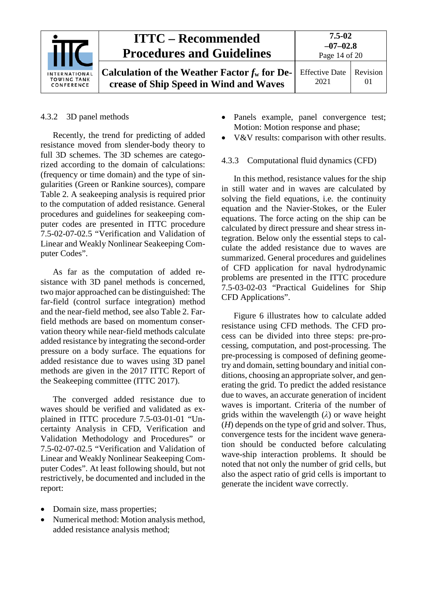

#### <span id="page-13-0"></span>4.3.2 3D panel methods

Recently, the trend for predicting of added resistance moved from slender-body theory to full 3D schemes. The 3D schemes are categorized according to the domain of calculations: (frequency or time domain) and the type of singularities (Green or Rankine sources), compare Table 2. A seakeeping analysis is required prior to the computation of added resistance. General procedures and guidelines for seakeeping computer codes are presented in ITTC procedure 7.5-02-07-02.5 "Verification and Validation of Linear and Weakly Nonlinear Seakeeping Computer Codes".

As far as the computation of added resistance with 3D panel methods is concerned, two major approached can be distinguished: The far-field (control surface integration) method and the near-field method, see also Table 2. Farfield methods are based on momentum conservation theory while near-field methods calculate added resistance by integrating the second-order pressure on a body surface. The equations for added resistance due to waves using 3D panel methods are given in the 2017 ITTC Report of the Seakeeping committee (ITTC 2017).

The converged added resistance due to waves should be verified and validated as explained in ITTC procedure 7.5-03-01-01 "Uncertainty Analysis in CFD, Verification and Validation Methodology and Procedures" or 7.5-02-07-02.5 "Verification and Validation of Linear and Weakly Nonlinear Seakeeping Computer Codes". At least following should, but not restrictively, be documented and included in the report:

- Domain size, mass properties;
- Numerical method: Motion analysis method, added resistance analysis method;
- Panels example, panel convergence test; Motion: Motion response and phase;
- V&V results: comparison with other results.

#### <span id="page-13-1"></span>4.3.3 Computational fluid dynamics (CFD)

In this method, resistance values for the ship in still water and in waves are calculated by solving the field equations, i.e. the continuity equation and the Navier-Stokes, or the Euler equations. The force acting on the ship can be calculated by direct pressure and shear stress integration. Below only the essential steps to calculate the added resistance due to waves are summarized. General procedures and guidelines of CFD application for naval hydrodynamic problems are presented in the ITTC procedure 7.5-03-02-03 "Practical Guidelines for Ship CFD Applications".

Figure 6 illustrates how to calculate added resistance using CFD methods. The CFD process can be divided into three steps: pre-processing, computation, and post-processing. The pre-processing is composed of defining geometry and domain, setting boundary and initial conditions, choosing an appropriate solver, and generating the grid. To predict the added resistance due to waves, an accurate generation of incident waves is important. Criteria of the number of grids within the wavelength (*λ*) or wave height (*H*) depends on the type of grid and solver. Thus, convergence tests for the incident wave generation should be conducted before calculating wave-ship interaction problems. It should be noted that not only the number of grid cells, but also the aspect ratio of grid cells is important to generate the incident wave correctly.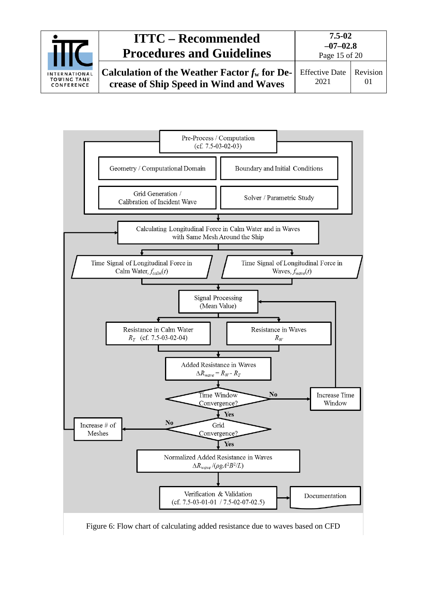



Figure 6: Flow chart of calculating added resistance due to waves based on CFD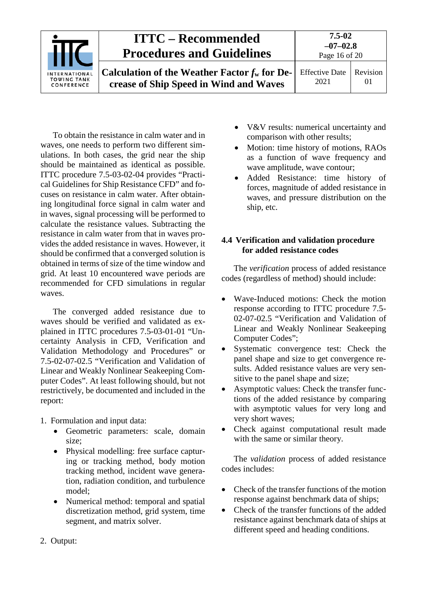| <b>INTERNATIONAL</b><br><b>TOWING TANK</b><br>CONFERENCE | <b>ITTC – Recommended</b><br><b>Procedures and Guidelines</b>                             | $7.5 - 02$<br>$-07-02.8$<br>Page 16 of 20 |                      |
|----------------------------------------------------------|-------------------------------------------------------------------------------------------|-------------------------------------------|----------------------|
|                                                          | Calculation of the Weather Factor $f_w$ for De-<br>crease of Ship Speed in Wind and Waves | <b>Effective Date</b><br>2021             | Revision<br>$\Omega$ |

To obtain the resistance in calm water and in waves, one needs to perform two different simulations. In both cases, the grid near the ship should be maintained as identical as possible. ITTC procedure 7.5-03-02-04 provides "Practical Guidelines for Ship Resistance CFD" and focuses on resistance in calm water. After obtaining longitudinal force signal in calm water and in waves, signal processing will be performed to calculate the resistance values. Subtracting the resistance in calm water from that in waves provides the added resistance in waves. However, it should be confirmed that a converged solution is obtained in terms of size of the time window and grid. At least 10 encountered wave periods are recommended for CFD simulations in regular waves.

The converged added resistance due to waves should be verified and validated as explained in ITTC procedures 7.5-03-01-01 "Uncertainty Analysis in CFD, Verification and Validation Methodology and Procedures" or 7.5-02-07-02.5 "Verification and Validation of Linear and Weakly Nonlinear Seakeeping Computer Codes". At least following should, but not restrictively, be documented and included in the report:

- 1. Formulation and input data:
	- Geometric parameters: scale, domain size;
	- Physical modelling: free surface capturing or tracking method, body motion tracking method, incident wave generation, radiation condition, and turbulence model;
	- Numerical method: temporal and spatial discretization method, grid system, time segment, and matrix solver.
- V&V results: numerical uncertainty and comparison with other results;
- Motion: time history of motions, RAOs as a function of wave frequency and wave amplitude, wave contour;
- Added Resistance: time history of forces, magnitude of added resistance in waves, and pressure distribution on the ship, etc.

#### <span id="page-15-0"></span>**4.4 Verification and validation procedure for added resistance codes**

The *verification* process of added resistance codes (regardless of method) should include:

- Wave-Induced motions: Check the motion response according to ITTC procedure 7.5- 02-07-02.5 "Verification and Validation of Linear and Weakly Nonlinear Seakeeping Computer Codes";
- Systematic convergence test: Check the panel shape and size to get convergence results. Added resistance values are very sensitive to the panel shape and size;
- Asymptotic values: Check the transfer functions of the added resistance by comparing with asymptotic values for very long and very short waves;
- Check against computational result made with the same or similar theory.

The *validation* process of added resistance codes includes:

- Check of the transfer functions of the motion response against benchmark data of ships;
- Check of the transfer functions of the added resistance against benchmark data of ships at different speed and heading conditions.

2. Output: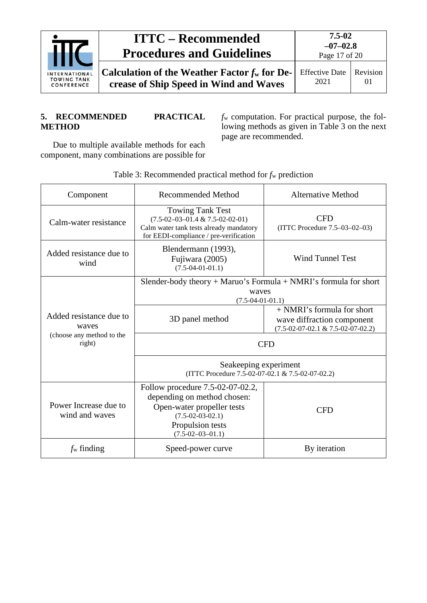

#### <span id="page-16-0"></span>**5. RECOMMENDED PRACTICAL METHOD**

*f*<sup>w</sup> computation. For practical purpose, the following methods as given in Table 3 on the next page are recommended.

Due to multiple available methods for each component, many combinations are possible for

Component Recommended Method Alternative Method Calm-water resistance Towing Tank Test (7.5-02–03–01.4 & 7.5-02-02-01) Calm water tank tests already mandatory for EEDI-compliance / pre-verification CFD (ITTC Procedure 7.5–03–02–03) Added resistance due to wind Blendermann (1993), Fujiwara (2005) (7.5-04-01-01.1) Wind Tunnel Test Added resistance due to waves (choose any method to the right) Slender-body theory + Maruo's Formula + NMRI's formula for short waves (7.5-04-01-01.1) 3D panel method + NMRI's formula for short wave diffraction component (7.5-02-07-02.1 & 7.5-02-07-02.2) CFD Seakeeping experiment (ITTC Procedure 7.5-02-07-02.1 & 7.5-02-07-02.2) Power Increase due to wind and waves Follow procedure 7.5-02-07-02.2, depending on method chosen: Open-water propeller tests (7.5-02-03-02.1) Propulsion tests (7.5-02–03–01.1) CFD *f*<sub>w</sub> finding Speed-power curve By iteration

Table 3: Recommended practical method for *f*<sup>w</sup> prediction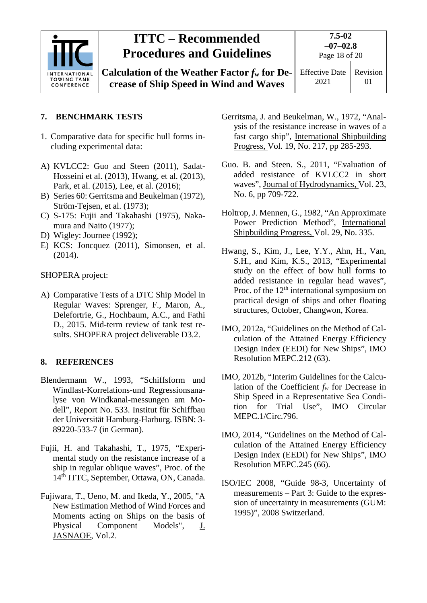

### <span id="page-17-0"></span>**7. BENCHMARK TESTS**

- 1. Comparative data for specific hull forms including experimental data:
- A) KVLCC2: Guo and Steen (2011), Sadat-Hosseini et al. (2013), Hwang, et al. (2013), Park, et al. (2015), Lee, et al. (2016);
- B) Series 60: Gerritsma and Beukelman (1972), Ström-Tejsen, et al. (1973);
- C) S-175: Fujii and Takahashi (1975), Nakamura and Naito (1977);
- D) Wigley: Journee (1992);
- E) KCS: Joncquez (2011), Simonsen, et al. (2014).

SHOPERA project:

A) Comparative Tests of a DTC Ship Model in Regular Waves: Sprenger, F., Maron, A., Delefortrie, G., Hochbaum, A.C., and Fathi D., 2015. Mid-term review of tank test results. SHOPERA project deliverable D3.2.

#### <span id="page-17-1"></span>**8. REFERENCES**

- Blendermann W., 1993, "Schiffsform und Windlast-Korrelations-und Regressionsanalyse von Windkanal-messungen am Modell", Report No. 533. Institut für Schiffbau der Universität Hamburg-Harburg. ISBN: 3- 89220-533-7 (in German).
- Fujii, H. and Takahashi, T., 1975, "Experimental study on the resistance increase of a ship in regular oblique waves", Proc. of the 14th ITTC, September, Ottawa, ON, Canada.
- Fujiwara, T., Ueno, M. and Ikeda, Y., 2005, "A New Estimation Method of Wind Forces and Moments acting on Ships on the basis of Physical Component Models", J. JASNAOE, Vol.2.
- Gerritsma, J. and Beukelman, W., 1972, "Analysis of the resistance increase in waves of a fast cargo ship", International Shipbuilding Progress, Vol. 19, No. 217, pp 285-293.
- Guo. B. and Steen. S., 2011, "Evaluation of added resistance of KVLCC2 in short waves", Journal of Hydrodynamics, Vol. 23, No. 6, pp 709-722.
- Holtrop, J. Mennen, G., 1982, "An Approximate Power Prediction Method", International Shipbuilding Progress, Vol. 29, No. 335.
- Hwang, S., Kim, J., Lee, Y.Y., Ahn, H., Van, S.H., and Kim, K.S., 2013, "Experimental study on the effect of bow hull forms to added resistance in regular head waves", Proc. of the  $12<sup>th</sup>$  international symposium on practical design of ships and other floating structures, October, Changwon, Korea.
- IMO, 2012a, "Guidelines on the Method of Calculation of the Attained Energy Efficiency Design Index (EEDI) for New Ships", IMO Resolution MEPC.212 (63).
- IMO, 2012b, "Interim Guidelines for the Calculation of the Coefficient *fw* for Decrease in Ship Speed in a Representative Sea Condition for Trial Use", IMO Circular MEPC.1/Circ.796.
- IMO, 2014, "Guidelines on the Method of Calculation of the Attained Energy Efficiency Design Index (EEDI) for New Ships", IMO Resolution MEPC.245 (66).
- ISO/IEC 2008, "Guide 98-3, Uncertainty of measurements – Part 3: Guide to the expression of uncertainty in measurements (GUM: 1995)", 2008 Switzerland.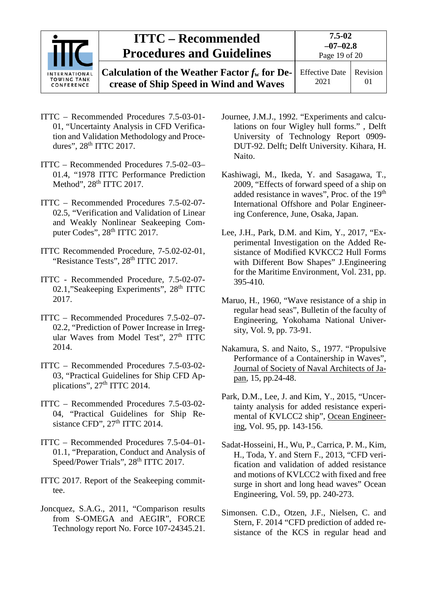|                                                          | <b>ITTC – Recommended</b><br><b>Procedures and Guidelines</b>                             | 7.5-02<br>$-07-02.8$<br>Page 19 of 20 |                |
|----------------------------------------------------------|-------------------------------------------------------------------------------------------|---------------------------------------|----------------|
| <b>INTERNATIONAL</b><br><b>TOWING TANK</b><br>CONFERENCE | Calculation of the Weather Factor $f_w$ for De-<br>crease of Ship Speed in Wind and Waves | <b>Effective Date</b><br>2021         | Revision<br>01 |

- ITTC Recommended Procedures 7.5-03-01- 01, "Uncertainty Analysis in CFD Verification and Validation Methodology and Procedures", 28<sup>th</sup> ITTC 2017.
- ITTC Recommended Procedures 7.5-02–03– 01.4, "1978 ITTC Performance Prediction Method", 28<sup>th</sup> ITTC 2017.
- ITTC Recommended Procedures 7.5-02-07- 02.5, "Verification and Validation of Linear and Weakly Nonlinear Seakeeping Computer Codes", 28<sup>th</sup> ITTC 2017.
- ITTC Recommended Procedure, 7-5.02-02-01, "Resistance Tests", 28<sup>th</sup> ITTC 2017.
- ITTC Recommended Procedure, 7.5-02-07- 02.1, "Seakeeping Experiments", 28<sup>th</sup> ITTC 2017.
- ITTC Recommended Procedures 7.5-02–07- 02.2, "Prediction of Power Increase in Irregular Waves from Model Test", 27<sup>th</sup> ITTC 2014.
- ITTC Recommended Procedures 7.5-03-02- 03, "Practical Guidelines for Ship CFD Applications", 27<sup>th</sup> ITTC 2014.
- ITTC Recommended Procedures 7.5-03-02- 04, "Practical Guidelines for Ship Resistance CFD",  $27<sup>th</sup> ITTC 2014$ .
- ITTC Recommended Procedures 7.5-04–01- 01.1, "Preparation, Conduct and Analysis of Speed/Power Trials", 28<sup>th</sup> ITTC 2017.
- ITTC 2017. Report of the Seakeeping committee.
- Joncquez, S.A.G., 2011, "Comparison results from S-OMEGA and AEGIR", FORCE Technology report No. Force 107-24345.21.
- Journee, J.M.J., 1992. "Experiments and calculations on four Wigley hull forms." , Delft University of Technology Report 0909- DUT-92. Delft; Delft University. Kihara, H. Naito.
- Kashiwagi, M., Ikeda, Y. and Sasagawa, T., 2009, "Effects of forward speed of a ship on added resistance in waves", Proc. of the 19th International Offshore and Polar Engineering Conference, June, Osaka, Japan.
- Lee, J.H., Park, D.M. and Kim, Y., 2017, "Experimental Investigation on the Added Resistance of Modified KVKCC2 Hull Forms with Different Bow Shapes" J.Engineering for the Maritime Environment, Vol. 231, pp. 395-410.
- Maruo, H., 1960, "Wave resistance of a ship in regular head seas", Bulletin of the faculty of Engineering, Yokohama National University, Vol. 9, pp. 73-91.
- Nakamura, S. and Naito, S., 1977. "Propulsive Performance of a Containership in Waves", Journal of Society of Naval Architects of Japan, 15, pp.24-48.
- Park, D.M., Lee, J. and Kim, Y., 2015, "Uncertainty analysis for added resistance experimental of KVLCC2 ship", Ocean Engineering, Vol. 95, pp. 143-156.
- Sadat-Hosseini, H., Wu, P., Carrica, P. M., Kim, H., Toda, Y. and Stern F., 2013, "CFD verification and validation of added resistance and motions of KVLCC2 with fixed and free surge in short and long head waves" Ocean Engineering, Vol. 59, pp. 240-273.
- Simonsen. C.D., Otzen, J.F., Nielsen, C. and Stern, F. 2014 "CFD prediction of added resistance of the KCS in regular head and